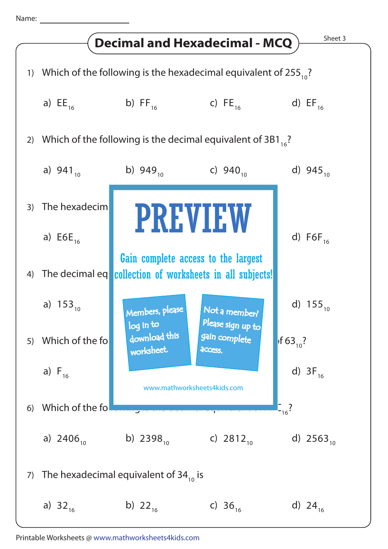Name: